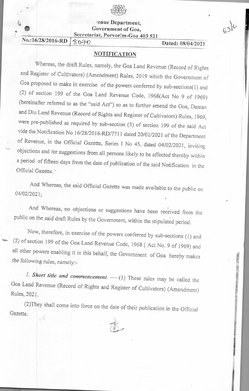

/en ue Department, Government of Goa, Secretariat, Porvor:m-Goa 403 521

No.:16/28/2016-RD 8070 Dated: 08/04/2021

 $(3)^{\iota}$ 

## **NOTIFICATION**

Whereas, the draft Rules, namely, the Goa Land Revenue (Record of Rights and Register of Cultivators) (Amendment) Rules, 2019 which the Government of Goa proposed to make in exercise of the powers conferred by sub-sections(1) and (2) of section 199 of the Goa Land Revenue Code, 1968(Act No 9 of 1969) (hereinafter referred to as the "said Act") so as to further amend the Goa, Daman and Diu Land Revenue (Record of Rights and Register of Cultivators) Rules, 1969, were pre-published as required by sub-section (3) of section 199 of the said Act vide the Notification No 16/28/2016-RD/7711 dated 20/01/2021 of the Department of Revenue, in the Official Gazette, Series l No 45, dated 04/02/2021, inviting objections and /or suggestions from all persons likely to be affected thereby within a period of fifteen days from the date of publication of the said Notification in the Official Gazette.

And Whereas, the said Official Gazette was made available to the public on 04/02/2021; •

And Whereas, no objections or suggestions have been received from the public on the said draft Rules by the Government, within the stipulated period.

Now, therefore, in exercise of the powers conferred by sub-sections (1) and (2) of section 199 of the Goa Land Revenue Code, 1968 ( Act No. 9 of 1969) and all other powers enabling it in this behalf, the Government of Goa hereby makes the following rules, namely:-

1. Short title and commencement.  $---(1)$  These rules may be called the Goa Land Revenue (Record of Rights and Register of Cultivators) (Amendment) Rules, 2021.

(2)They shall come into force on the date of their publication in the Official Gazette.